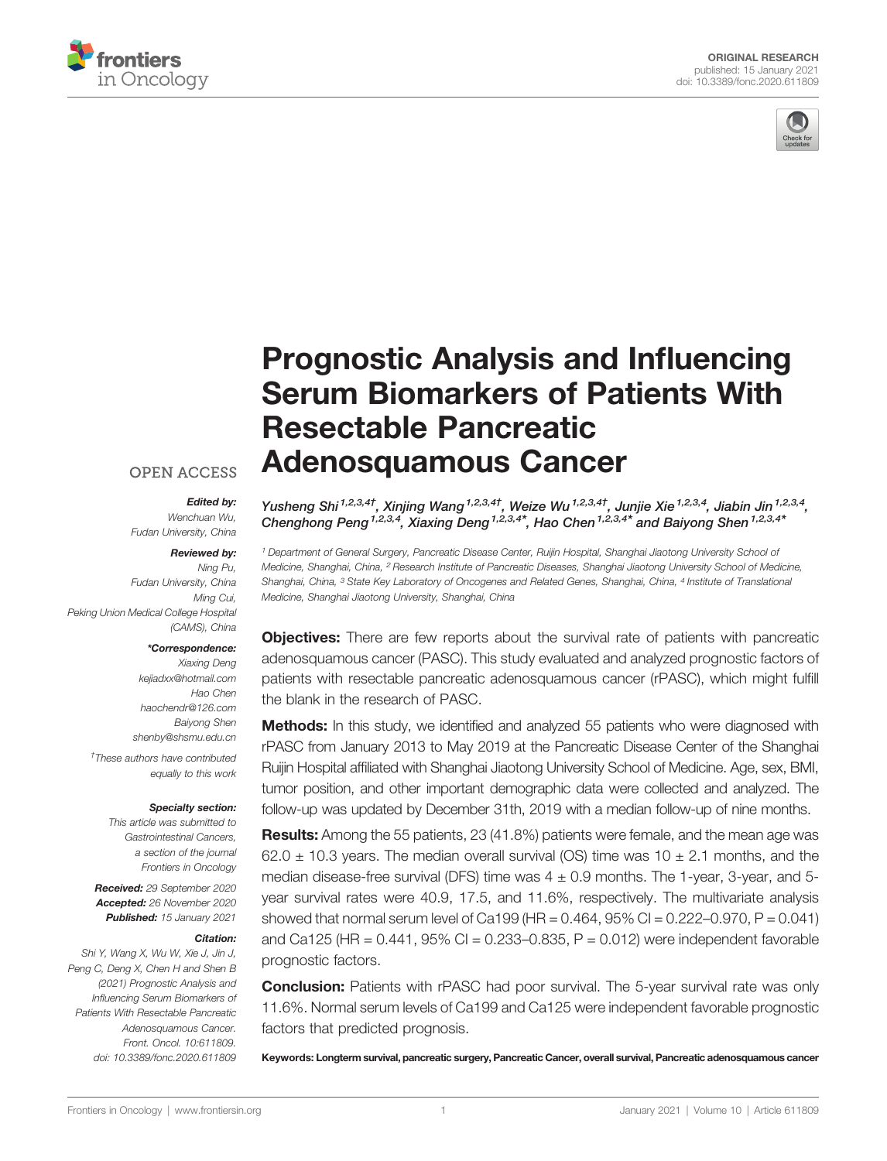



# [Prognostic Analysis and In](https://www.frontiersin.org/articles/10.3389/fonc.2020.611809/full)fluencing [Serum Biomarkers of Patients With](https://www.frontiersin.org/articles/10.3389/fonc.2020.611809/full) [Resectable Pancreatic](https://www.frontiersin.org/articles/10.3389/fonc.2020.611809/full) [Adenosquamous Cancer](https://www.frontiersin.org/articles/10.3389/fonc.2020.611809/full)

## **OPEN ACCESS**

#### Edited by:

Wenchuan Wu, Fudan University, China

#### Reviewed by:

Ning Pu, Fudan University, China Ming Cui, Peking Union Medical College Hospital (CAMS), China

#### \*Correspondence:

Xiaxing Deng [kejiadxx@hotmail.com](mailto:kejiadxx@hotmail.com) Hao Chen [haochendr@126.com](mailto:haochendr@126.com) Baiyong Shen [shenby@shsmu.edu.cn](mailto:shenby@shsmu.edu.cn)

† These authors have contributed equally to this work

#### Specialty section:

This article was submitted to Gastrointestinal Cancers, a section of the journal Frontiers in Oncology

Received: 29 September 2020 Accepted: 26 November 2020 Published: 15 January 2021

#### Citation:

Shi Y, Wang X, Wu W, Xie J, Jin J, Peng C, Deng X, Chen H and Shen B (2021) Prognostic Analysis and Influencing Serum Biomarkers of Patients With Resectable Pancreatic Adenosquamous Cancer. Front. Oncol. 10:611809. [doi: 10.3389/fonc.2020.611809](https://doi.org/10.3389/fonc.2020.611809)

Yusheng Shi<sup>1,2,3,4†</sup>, Xinjing Wang<sup>1,2,3,4†</sup>, Weize Wu<sup>1,2,3,4†</sup>, Junjie Xie<sup>1,2,3,4</sup>, Jiabin Jin<sup>1,2,3,4</sup>, Chenghong Peng<sup>1,2,3,4</sup>, Xiaxing Deng<sup>1,2,3,4\*</sup>, Hao Chen<sup>1,2,3,4\*</sup> and Baiyong Shen<sup>1,2,3,4\*</sup>

<sup>1</sup> Department of General Surgery, Pancreatic Disease Center, Ruijin Hospital, Shanghai Jiaotong University School of Medicine, Shanghai, China, <sup>2</sup> Research Institute of Pancreatic Diseases, Shanghai Jiaotong University School of Medicine, Shanghai, China, <sup>3</sup> State Key Laboratory of Oncogenes and Related Genes, Shanghai, China, <sup>4</sup> Institute of Translational Medicine, Shanghai Jiaotong University, Shanghai, China

**Objectives:** There are few reports about the survival rate of patients with pancreatic adenosquamous cancer (PASC). This study evaluated and analyzed prognostic factors of patients with resectable pancreatic adenosquamous cancer (rPASC), which might fulfill the blank in the research of PASC.

**Methods:** In this study, we identified and analyzed 55 patients who were diagnosed with rPASC from January 2013 to May 2019 at the Pancreatic Disease Center of the Shanghai Ruijin Hospital affiliated with Shanghai Jiaotong University School of Medicine. Age, sex, BMI, tumor position, and other important demographic data were collected and analyzed. The follow-up was updated by December 31th, 2019 with a median follow-up of nine months.

Results: Among the 55 patients, 23 (41.8%) patients were female, and the mean age was  $62.0 \pm 10.3$  years. The median overall survival (OS) time was  $10 \pm 2.1$  months, and the median disease-free survival (DFS) time was  $4 \pm 0.9$  months. The 1-year, 3-year, and 5year survival rates were 40.9, 17.5, and 11.6%, respectively. The multivariate analysis showed that normal serum level of Ca199 (HR =  $0.464$ ,  $95\%$  CI =  $0.222-0.970$ , P =  $0.041$ ) and Ca125 (HR =  $0.441$ , 95% CI =  $0.233 - 0.835$ , P =  $0.012$ ) were independent favorable prognostic factors.

**Conclusion:** Patients with rPASC had poor survival. The 5-year survival rate was only 11.6%. Normal serum levels of Ca199 and Ca125 were independent favorable prognostic factors that predicted prognosis.

Keywords: Longterm survival, pancreatic surgery, Pancreatic Cancer, overall survival, Pancreatic adenosquamous cancer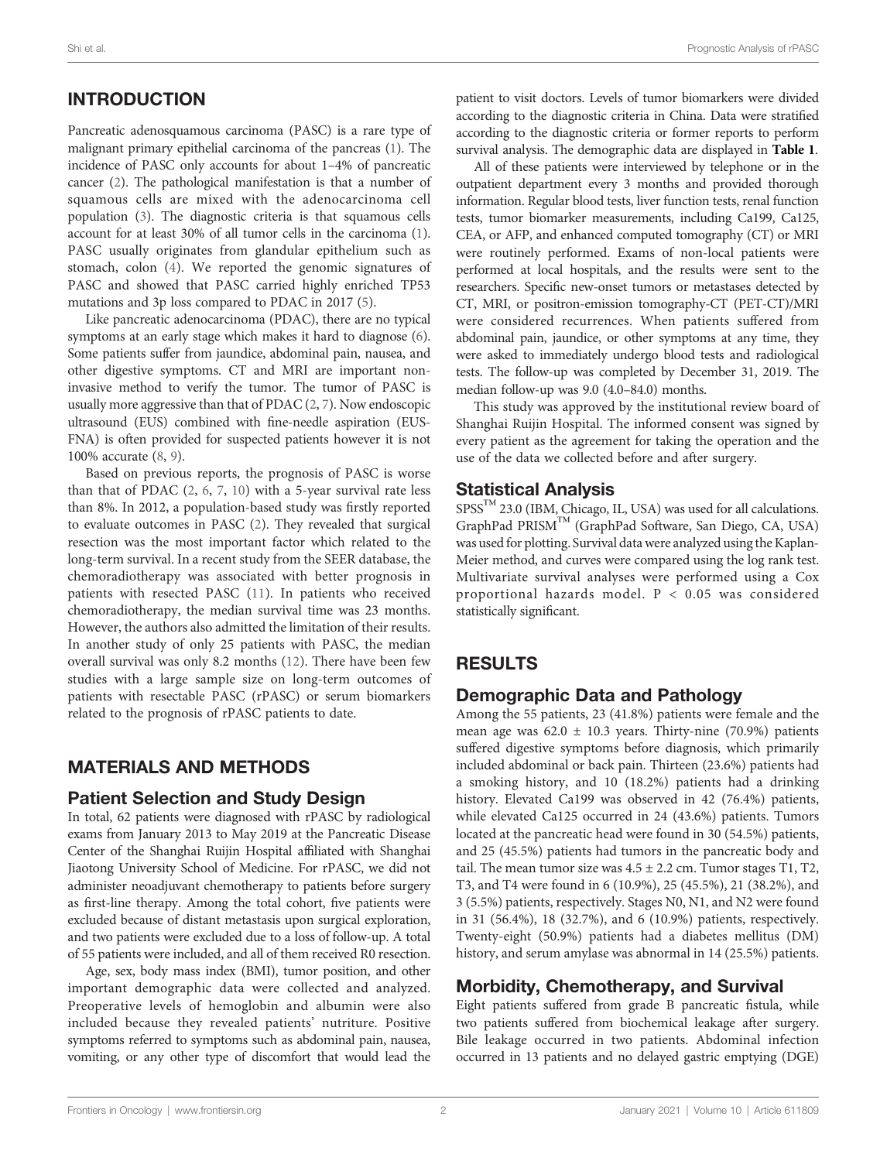# INTRODUCTION

Pancreatic adenosquamous carcinoma (PASC) is a rare type of malignant primary epithelial carcinoma of the pancreas ([1](#page-5-0)). The incidence of PASC only accounts for about 1–4% of pancreatic cancer ([2\)](#page-5-0). The pathological manifestation is that a number of squamous cells are mixed with the adenocarcinoma cell population ([3](#page-5-0)). The diagnostic criteria is that squamous cells account for at least 30% of all tumor cells in the carcinoma [\(1\)](#page-5-0). PASC usually originates from glandular epithelium such as stomach, colon ([4](#page-5-0)). We reported the genomic signatures of PASC and showed that PASC carried highly enriched TP53 mutations and 3p loss compared to PDAC in 2017 [\(5](#page-5-0)).

Like pancreatic adenocarcinoma (PDAC), there are no typical symptoms at an early stage which makes it hard to diagnose [\(6\)](#page-5-0). Some patients suffer from jaundice, abdominal pain, nausea, and other digestive symptoms. CT and MRI are important noninvasive method to verify the tumor. The tumor of PASC is usually more aggressive than that of PDAC ([2](#page-5-0), [7\)](#page-5-0). Now endoscopic ultrasound (EUS) combined with fine-needle aspiration (EUS-FNA) is often provided for suspected patients however it is not 100% accurate [\(8,](#page-5-0) [9\)](#page-5-0).

Based on previous reports, the prognosis of PASC is worse than that of PDAC  $(2, 6, 7, 10)$  $(2, 6, 7, 10)$  $(2, 6, 7, 10)$  $(2, 6, 7, 10)$  $(2, 6, 7, 10)$  $(2, 6, 7, 10)$  $(2, 6, 7, 10)$  with a 5-year survival rate less than 8%. In 2012, a population-based study was firstly reported to evaluate outcomes in PASC ([2](#page-5-0)). They revealed that surgical resection was the most important factor which related to the long-term survival. In a recent study from the SEER database, the chemoradiotherapy was associated with better prognosis in patients with resected PASC ([11](#page-6-0)). In patients who received chemoradiotherapy, the median survival time was 23 months. However, the authors also admitted the limitation of their results. In another study of only 25 patients with PASC, the median overall survival was only 8.2 months [\(12](#page-6-0)). There have been few studies with a large sample size on long-term outcomes of patients with resectable PASC (rPASC) or serum biomarkers related to the prognosis of rPASC patients to date.

# MATERIALS AND METHODS

### Patient Selection and Study Design

In total, 62 patients were diagnosed with rPASC by radiological exams from January 2013 to May 2019 at the Pancreatic Disease Center of the Shanghai Ruijin Hospital affiliated with Shanghai Jiaotong University School of Medicine. For rPASC, we did not administer neoadjuvant chemotherapy to patients before surgery as first-line therapy. Among the total cohort, five patients were excluded because of distant metastasis upon surgical exploration, and two patients were excluded due to a loss of follow-up. A total of 55 patients were included, and all of them received R0 resection.

Age, sex, body mass index (BMI), tumor position, and other important demographic data were collected and analyzed. Preoperative levels of hemoglobin and albumin were also included because they revealed patients' nutriture. Positive symptoms referred to symptoms such as abdominal pain, nausea, vomiting, or any other type of discomfort that would lead the patient to visit doctors. Levels of tumor biomarkers were divided according to the diagnostic criteria in China. Data were stratified according to the diagnostic criteria or former reports to perform survival analysis. The demographic data are displayed in [Table 1](#page-2-0).

All of these patients were interviewed by telephone or in the outpatient department every 3 months and provided thorough information. Regular blood tests, liver function tests, renal function tests, tumor biomarker measurements, including Ca199, Ca125, CEA, or AFP, and enhanced computed tomography (CT) or MRI were routinely performed. Exams of non-local patients were performed at local hospitals, and the results were sent to the researchers. Specific new-onset tumors or metastases detected by CT, MRI, or positron-emission tomography-CT (PET-CT)/MRI were considered recurrences. When patients suffered from abdominal pain, jaundice, or other symptoms at any time, they were asked to immediately undergo blood tests and radiological tests. The follow-up was completed by December 31, 2019. The median follow-up was 9.0 (4.0–84.0) months.

This study was approved by the institutional review board of Shanghai Ruijin Hospital. The informed consent was signed by every patient as the agreement for taking the operation and the use of the data we collected before and after surgery.

## Statistical Analysis

SPSS<sup>™</sup> 23.0 (IBM, Chicago, IL, USA) was used for all calculations. GraphPad PRISM™ (GraphPad Software, San Diego, CA, USA) was used for plotting. Survival data were analyzed using the Kaplan-Meier method, and curves were compared using the log rank test. Multivariate survival analyses were performed using a Cox proportional hazards model. P < 0.05 was considered statistically significant.

# RESULTS

## Demographic Data and Pathology

Among the 55 patients, 23 (41.8%) patients were female and the mean age was  $62.0 \pm 10.3$  years. Thirty-nine (70.9%) patients suffered digestive symptoms before diagnosis, which primarily included abdominal or back pain. Thirteen (23.6%) patients had a smoking history, and 10 (18.2%) patients had a drinking history. Elevated Ca199 was observed in 42 (76.4%) patients, while elevated Ca125 occurred in 24 (43.6%) patients. Tumors located at the pancreatic head were found in 30 (54.5%) patients, and 25 (45.5%) patients had tumors in the pancreatic body and tail. The mean tumor size was  $4.5 \pm 2.2$  cm. Tumor stages T1, T2, T3, and T4 were found in 6 (10.9%), 25 (45.5%), 21 (38.2%), and 3 (5.5%) patients, respectively. Stages N0, N1, and N2 were found in 31 (56.4%), 18 (32.7%), and 6 (10.9%) patients, respectively. Twenty-eight (50.9%) patients had a diabetes mellitus (DM) history, and serum amylase was abnormal in 14 (25.5%) patients.

## Morbidity, Chemotherapy, and Survival

Eight patients suffered from grade B pancreatic fistula, while two patients suffered from biochemical leakage after surgery. Bile leakage occurred in two patients. Abdominal infection occurred in 13 patients and no delayed gastric emptying (DGE)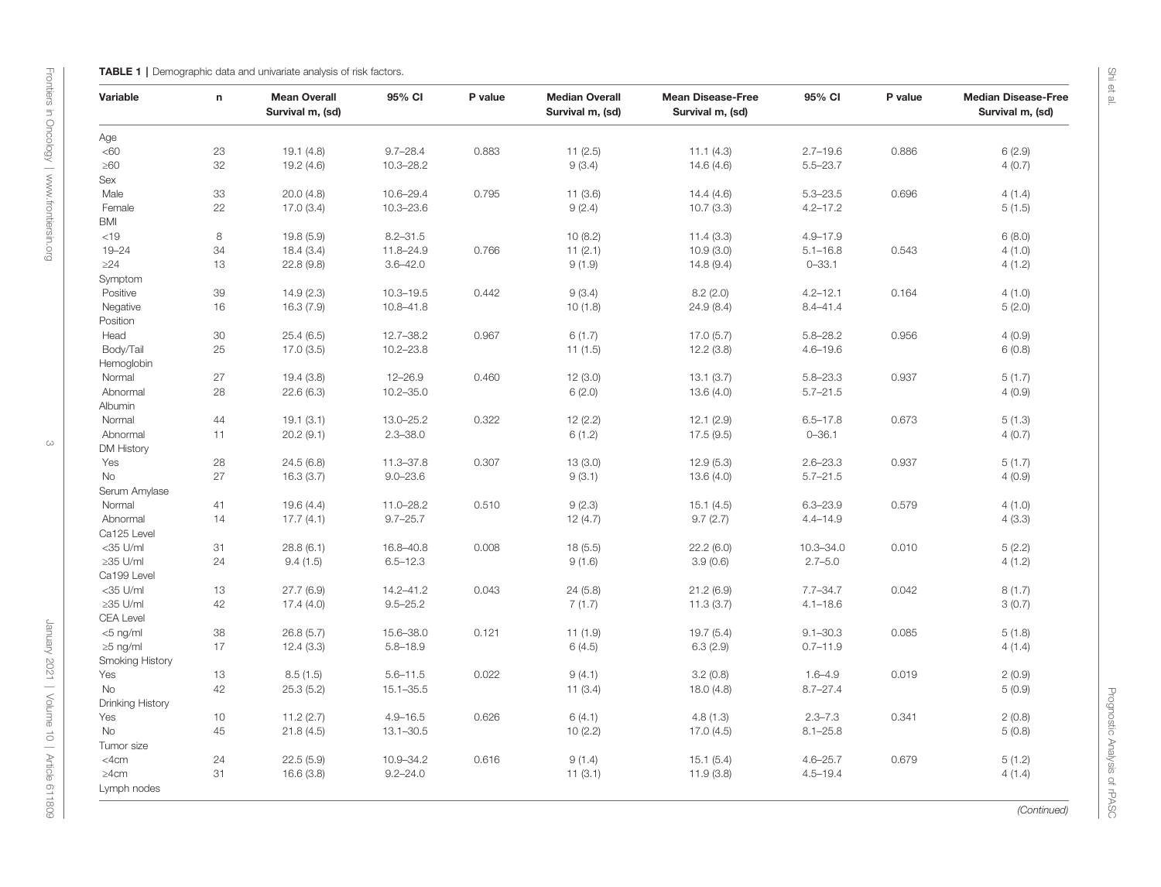<span id="page-2-0"></span>

| Variable         | $\mathsf{n}$ | <b>Mean Overall</b><br>Survival m, (sd) | 95% CI        | P value | <b>Median Overall</b><br>Survival m, (sd) | <b>Mean Disease-Free</b><br>Survival m, (sd) | 95% CI        | P value | <b>Median Disease-Free</b><br>Survival m, (sd) |
|------------------|--------------|-----------------------------------------|---------------|---------|-------------------------------------------|----------------------------------------------|---------------|---------|------------------------------------------------|
| Age              |              |                                         |               |         |                                           |                                              |               |         |                                                |
| <60              | 23           | 19.1(4.8)                               | $9.7 - 28.4$  | 0.883   | 11(2.5)                                   | 11.1(4.3)                                    | $2.7 - 19.6$  | 0.886   | 6(2.9)                                         |
| $\geq 60$        | 32           | 19.2 (4.6)                              | $10.3 - 28.2$ |         | 9(3.4)                                    | 14.6(4.6)                                    | $5.5 - 23.7$  |         | 4(0.7)                                         |
| Sex              |              |                                         |               |         |                                           |                                              |               |         |                                                |
| Male             | 33           | 20.0(4.8)                               | 10.6-29.4     | 0.795   | 11(3.6)                                   | 14.4(4.6)                                    | $5.3 - 23.5$  | 0.696   | 4(1.4)                                         |
| Female           | 22           | 17.0(3.4)                               | $10.3 - 23.6$ |         | 9(2.4)                                    | 10.7(3.3)                                    | $4.2 - 17.2$  |         | 5(1.5)                                         |
| <b>BMI</b>       |              |                                         |               |         |                                           |                                              |               |         |                                                |
| < 19             | 8            | 19.8 (5.9)                              | $8.2 - 31.5$  |         | 10(8.2)                                   | 11.4(3.3)                                    | $4.9 - 17.9$  |         | 6(8.0)                                         |
| $19 - 24$        | 34           | 18.4(3.4)                               | 11.8-24.9     | 0.766   | 11(2.1)                                   | 10.9(3.0)                                    | $5.1 - 16.8$  | 0.543   | 4(1.0)                                         |
| $\geq$ 24        | 13           | 22.8 (9.8)                              | $3.6 - 42.0$  |         | 9(1.9)                                    | 14.8(9.4)                                    | $0 - 33.1$    |         | 4(1.2)                                         |
| Symptom          |              |                                         |               |         |                                           |                                              |               |         |                                                |
| Positive         | 39           | 14.9(2.3)                               | $10.3 - 19.5$ | 0.442   | 9(3.4)                                    | 8.2(2.0)                                     | $4.2 - 12.1$  | 0.164   | 4(1.0)                                         |
| Negative         | 16           | 16.3(7.9)                               | $10.8 - 41.8$ |         | 10(1.8)                                   | 24.9 (8.4)                                   | $8.4 - 41.4$  |         | 5(2.0)                                         |
| Position         |              |                                         |               |         |                                           |                                              |               |         |                                                |
| Head             | 30           | 25.4(6.5)                               | $12.7 - 38.2$ | 0.967   | 6(1.7)                                    | 17.0(5.7)                                    | $5.8 - 28.2$  | 0.956   | 4(0.9)                                         |
| Body/Tail        | 25           | 17.0(3.5)                               | $10.2 - 23.8$ |         | 11(1.5)                                   | 12.2(3.8)                                    | $4.6 - 19.6$  |         | 6(0.8)                                         |
| Hemoglobin       |              |                                         |               |         |                                           |                                              |               |         |                                                |
| Normal           | 27           | 19.4(3.8)                               | $12 - 26.9$   | 0.460   | 12(3.0)                                   | 13.1(3.7)                                    | $5.8 - 23.3$  | 0.937   | 5(1.7)                                         |
| Abnormal         | 28           | 22.6(6.3)                               | $10.2 - 35.0$ |         | 6(2.0)                                    | 13.6(4.0)                                    | $5.7 - 21.5$  |         | 4(0.9)                                         |
| Albumin          |              |                                         |               |         |                                           |                                              |               |         |                                                |
| Normal           | 44           | 19.1(3.1)                               | 13.0-25.2     | 0.322   | 12(2.2)                                   | 12.1(2.9)                                    | $6.5 - 17.8$  | 0.673   | 5(1.3)                                         |
| Abnormal         | 11           | 20.2(9.1)                               | $2.3 - 38.0$  |         | 6(1.2)                                    | 17.5(9.5)                                    | $0 - 36.1$    |         | 4(0.7)                                         |
| DM History       |              |                                         |               |         |                                           |                                              |               |         |                                                |
| Yes              | 28           | 24.5 (6.8)                              | 11.3-37.8     | 0.307   | 13(3.0)                                   | 12.9(5.3)                                    | $2.6 - 23.3$  | 0.937   | 5(1.7)                                         |
| <b>No</b>        | 27           | 16.3(3.7)                               | $9.0 - 23.6$  |         | 9(3.1)                                    | 13.6(4.0)                                    | $5.7 - 21.5$  |         | 4(0.9)                                         |
| Serum Amylase    |              |                                         |               |         |                                           |                                              |               |         |                                                |
| Normal           | 41           | 19.6(4.4)                               | $11.0 - 28.2$ | 0.510   | 9(2.3)                                    | 15.1(4.5)                                    | $6.3 - 23.9$  | 0.579   | 4(1.0)                                         |
| Abnormal         | 14           | 17.7(4.1)                               | $9.7 - 25.7$  |         | 12(4.7)                                   | 9.7(2.7)                                     | $4.4 - 14.9$  |         | 4(3.3)                                         |
| Ca125 Level      |              |                                         |               |         |                                           |                                              |               |         |                                                |
| <35 U/ml         | 31           | 28.8(6.1)                               | 16.8-40.8     | 0.008   | 18(5.5)                                   | 22.2(6.0)                                    | $10.3 - 34.0$ | 0.010   | 5(2.2)                                         |
| ≥35 U/ml         | 24           | 9.4(1.5)                                | $6.5 - 12.3$  |         | 9(1.6)                                    | 3.9(0.6)                                     | $2.7 - 5.0$   |         | 4(1.2)                                         |
| Ca199 Level      |              |                                         |               |         |                                           |                                              |               |         |                                                |
| <35 U/ml         | 13           | 27.7(6.9)                               | 14.2-41.2     | 0.043   | 24 (5.8)                                  | 21.2(6.9)                                    | $7.7 - 34.7$  | 0.042   | 8(1.7)                                         |
| ≥35 U/ml         | 42           | 17.4(4.0)                               | $9.5 - 25.2$  |         | 7(1.7)                                    | 11.3(3.7)                                    | $4.1 - 18.6$  |         | 3(0.7)                                         |
| <b>CEA Level</b> |              |                                         |               |         |                                           |                                              |               |         |                                                |
| $<$ 5 ng/ml      | 38           | 26.8(5.7)                               | 15.6-38.0     | 0.121   | 11(1.9)                                   | 19.7(5.4)                                    | $9.1 - 30.3$  | 0.085   | 5(1.8)                                         |
| $\geq$ 5 ng/ml   | 17           | 12.4(3.3)                               | $5.8 - 18.9$  |         | 6(4.5)                                    | 6.3(2.9)                                     | $0.7 - 11.9$  |         | 4(1.4)                                         |
| Smoking History  |              |                                         |               |         |                                           |                                              |               |         |                                                |
| Yes              | 13           | 8.5(1.5)                                | $5.6 - 11.5$  | 0.022   | 9(4.1)                                    | 3.2(0.8)                                     | $1.6 - 4.9$   | 0.019   | 2(0.9)                                         |
| <b>No</b>        | 42           | 25.3(5.2)                               | $15.1 - 35.5$ |         | 11(3.4)                                   | 18.0 (4.8)                                   | $8.7 - 27.4$  |         | 5(0.9)                                         |
| Drinking History |              |                                         |               |         |                                           |                                              |               |         |                                                |
| Yes              | 10           | 11.2(2.7)                               | $4.9 - 16.5$  | 0.626   | 6(4.1)                                    | 4.8(1.3)                                     | $2.3 - 7.3$   | 0.341   | 2(0.8)                                         |
| No               | 45           | 21.8(4.5)                               | $13.1 - 30.5$ |         | 10(2.2)                                   | 17.0(4.5)                                    | $8.1 - 25.8$  |         | 5(0.8)                                         |
| Tumor size       |              |                                         |               |         |                                           |                                              |               |         |                                                |
| $<$ 4 $cm$       | 24           | 22.5(5.9)                               | 10.9-34.2     | 0.616   | 9(1.4)                                    | 15.1(5.4)                                    | $4.6 - 25.7$  | 0.679   | 5(1.2)                                         |
| $\geq$ 4cm       | 31           | 16.6(3.8)                               | $9.2 - 24.0$  |         | 11(3.1)                                   | 11.9(3.8)                                    | $4.5 - 19.4$  |         | 4(1.4)                                         |
| Lymph nodes      |              |                                         |               |         |                                           |                                              |               |         |                                                |

Prognostic Analysis of rPASC Prognostic Analysis of rPASC

(Continued)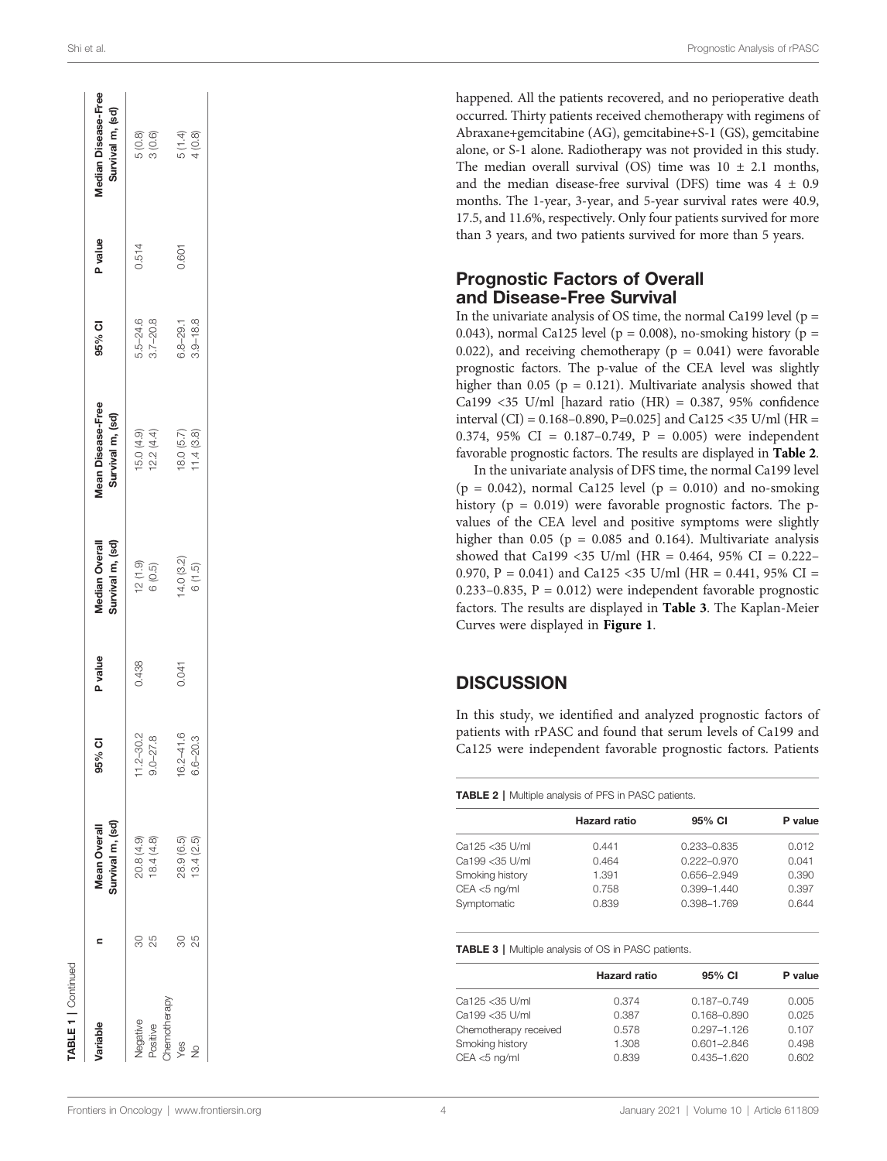| Variable      | ⊂  | Survival m, (sd)<br><b>Mean Overall</b> | 95% CI                    | P value | Survival m, (sd)<br>Median Overall | Mean Disease-Free<br>Survival m, (sd) | 95% CI       | P value | Median Disease-Free<br>Survival m, (sd) |
|---------------|----|-----------------------------------------|---------------------------|---------|------------------------------------|---------------------------------------|--------------|---------|-----------------------------------------|
| Negative      | 30 | 20.8 (4.9)                              |                           | 0.438   |                                    | 15.0 (4.9)                            | $5.5 - 24.6$ | 0.514   | 5(0.8)                                  |
| Positive      | 25 | 18.4(4.8)                               | $11.2 - 30.2$<br>9.0-27.8 |         | $12(1.9)$<br>$6(0.5)$              | 12.2(4.4)                             | $3.7 - 20.8$ |         | 3(0.6)                                  |
| Chemotherapy  |    |                                         |                           |         |                                    |                                       |              |         |                                         |
| Yes           | 80 | 28.9 (6.5)                              | $16.2 - 41.6$             | 0.041   | 14.0 (3.2)                         | 18.0 (5.7)                            | $6.8 - 29.1$ | 0.601   | 5 (1.4)                                 |
| $\frac{1}{2}$ | 25 | 13.4(2.5)                               | $6.6 - 20.3$              |         | 6(1.5)                             | 11.4(3.8)                             | $3.9 - 18.8$ |         | 4(0.8)                                  |

happened. All the patients recovered, and no perioperative death occurred. Thirty patients received chemotherapy with regimens of Abraxane+gemcitabine (AG), gemcitabine+S-1 (GS), gemcitabine alone, or S-1 alone. Radiotherapy was not provided in this study. The median overall survival (OS) time was  $10 \pm 2.1$  months, and the median disease-free survival (DFS) time was  $4 \pm 0.9$ months. The 1-year, 3-year, and 5-year survival rates were 40.9, 17.5, and 11.6%, respectively. Only four patients survived for more than 3 years, and two patients survived for more than 5 years.

#### Prognostic Factors of Overall and Disease-Free Survival

In the univariate analysis of OS time, the normal Ca199 level ( $p =$ 0.043), normal Ca125 level ( $p = 0.008$ ), no-smoking history ( $p =$ 0.022), and receiving chemotherapy ( $p = 0.041$ ) were favorable prognostic factors. The p-value of the CEA level was slightly higher than 0.05 ( $p = 0.121$ ). Multivariate analysis showed that Ca199 <35 U/ml [hazard ratio (HR) = 0.387, 95% con fidence interval (CI) = 0.168 –0.890, P=0.025] and Ca125 <35 U/ml (HR = 0.374, 95% CI = 0.187 –0.749, P = 0.005) were independent favorable prognostic factors. The results are displayed in Table 2 .

In the univariate analysis of DFS time, the normal Ca199 level  $(p = 0.042)$ , normal Ca125 level  $(p = 0.010)$  and no-smoking history ( $p = 0.019$ ) were favorable prognostic factors. The pvalues of the CEA level and positive symptoms were slightly higher than  $0.05$  (p = 0.085 and 0.164). Multivariate analysis showed that Ca199 <35 U/ml (HR = 0.464, 95% CI = 0.222 – 0.970, P = 0.041) and Ca125 <35 U/ml (HR = 0.441, 95% CI =  $0.233 - 0.835$ ,  $P = 0.012$ ) were independent favorable prognostic factors. The results are displayed in Table 3. The Kaplan-Meier Curves were displayed in **[Figure 1](#page-4-0)**.

### **DISCUSSION**

In this study, we identi fied and analyzed prognostic factors of patients with rPASC and found that serum levels of Ca199 and Ca125 were independent favorable prognostic factors. Patients

TABLE 2 | Multiple analysis of PFS in PASC patients.

|                 | <b>Hazard ratio</b> | 95% CI          | P value |
|-----------------|---------------------|-----------------|---------|
| Ca125 < 35 U/ml | 0.441               | 0.233-0.835     | 0.012   |
| Ca199 < 35 U/ml | 0.464               | $0.222 - 0.970$ | 0.041   |
| Smoking history | 1.391               | 0.656-2.949     | 0.390   |
| CEA <5 ng/ml    | 0.758               | $0.399 - 1.440$ | 0.397   |
| Symptomatic     | 0.839               | 0.398-1.769     | 0.644   |
|                 |                     |                 |         |

#### TABLE 3 | Multiple analysis of OS in PASC patients.

|                       | <b>Hazard ratio</b> | 95% CI          | P value |
|-----------------------|---------------------|-----------------|---------|
| Ca125 < 35 U/ml       | 0.374               | $0.187 - 0.749$ | 0.005   |
| Ca199 < 35 U/ml       | 0.387               | $0.168 - 0.890$ | 0.025   |
| Chemotherapy received | 0.578               | $0.297 - 1.126$ | 0.107   |
| Smoking history       | 1.308               | $0.601 - 2.846$ | 0.498   |
| $CEA < 5$ ng/ml       | 0.839               | 0.435-1.620     | 0.602   |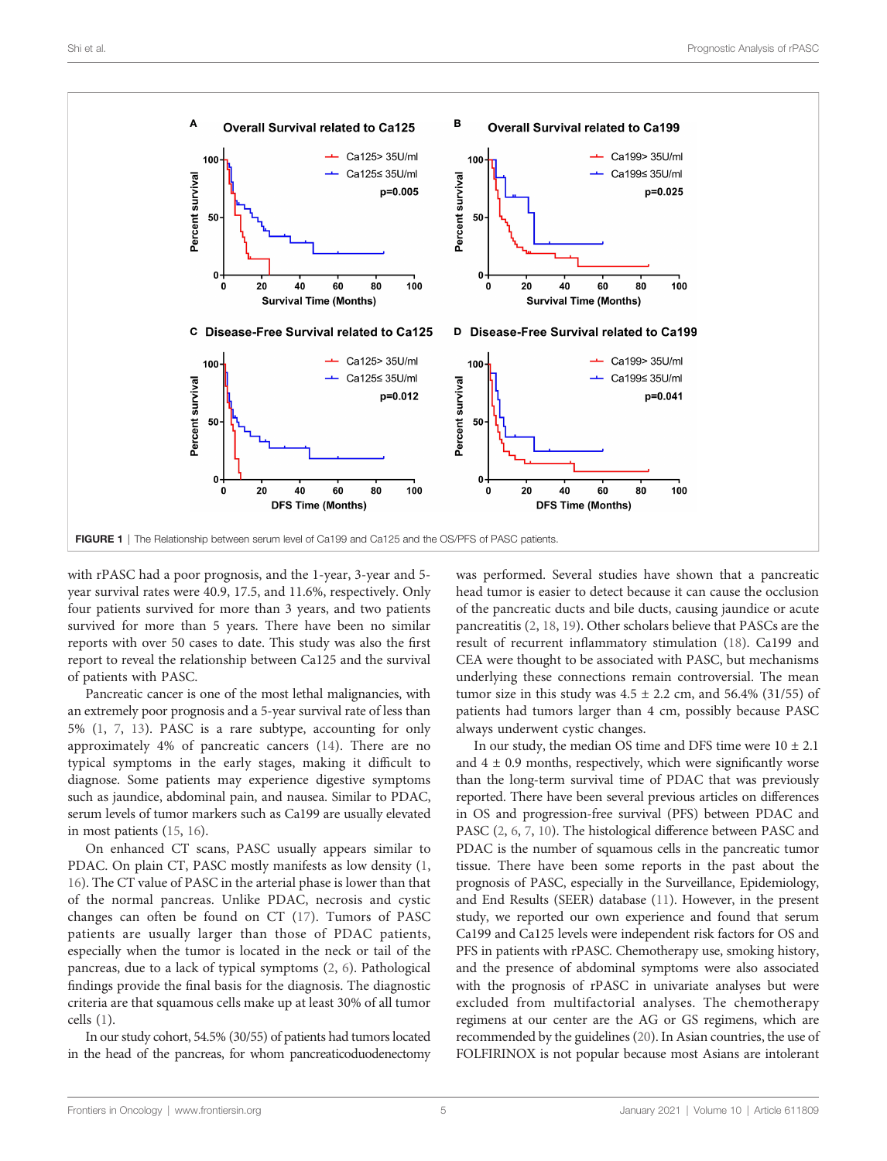<span id="page-4-0"></span>

with rPASC had a poor prognosis, and the 1-year, 3-year and 5 year survival rates were 40.9, 17.5, and 11.6%, respectively. Only four patients survived for more than 3 years, and two patients survived for more than 5 years. There have been no similar reports with over 50 cases to date. This study was also the first report to reveal the relationship between Ca125 and the survival of patients with PASC.

Pancreatic cancer is one of the most lethal malignancies, with an extremely poor prognosis and a 5-year survival rate of less than 5% [\(1,](#page-5-0) [7](#page-5-0), [13](#page-6-0)). PASC is a rare subtype, accounting for only approximately 4% of pancreatic cancers ([14\)](#page-6-0). There are no typical symptoms in the early stages, making it difficult to diagnose. Some patients may experience digestive symptoms such as jaundice, abdominal pain, and nausea. Similar to PDAC, serum levels of tumor markers such as Ca199 are usually elevated in most patients [\(15,](#page-6-0) [16\)](#page-6-0).

On enhanced CT scans, PASC usually appears similar to PDAC. On plain CT, PASC mostly manifests as low density ([1](#page-5-0), [16](#page-6-0)). The CT value of PASC in the arterial phase is lower than that of the normal pancreas. Unlike PDAC, necrosis and cystic changes can often be found on CT [\(17\)](#page-6-0). Tumors of PASC patients are usually larger than those of PDAC patients, especially when the tumor is located in the neck or tail of the pancreas, due to a lack of typical symptoms [\(2,](#page-5-0) [6](#page-5-0)). Pathological findings provide the final basis for the diagnosis. The diagnostic criteria are that squamous cells make up at least 30% of all tumor cells ([1](#page-5-0)).

In our study cohort, 54.5% (30/55) of patients had tumors located in the head of the pancreas, for whom pancreaticoduodenectomy was performed. Several studies have shown that a pancreatic head tumor is easier to detect because it can cause the occlusion of the pancreatic ducts and bile ducts, causing jaundice or acute pancreatitis [\(2](#page-5-0), [18](#page-6-0), [19\)](#page-6-0). Other scholars believe that PASCs are the result of recurrent inflammatory stimulation ([18](#page-6-0)). Ca199 and CEA were thought to be associated with PASC, but mechanisms underlying these connections remain controversial. The mean tumor size in this study was  $4.5 \pm 2.2$  cm, and  $56.4\%$  (31/55) of patients had tumors larger than 4 cm, possibly because PASC always underwent cystic changes.

In our study, the median OS time and DFS time were  $10 \pm 2.1$ and  $4 \pm 0.9$  months, respectively, which were significantly worse than the long-term survival time of PDAC that was previously reported. There have been several previous articles on differences in OS and progression-free survival (PFS) between PDAC and PASC [\(2,](#page-5-0) [6,](#page-5-0) [7,](#page-5-0) [10](#page-6-0)). The histological difference between PASC and PDAC is the number of squamous cells in the pancreatic tumor tissue. There have been some reports in the past about the prognosis of PASC, especially in the Surveillance, Epidemiology, and End Results (SEER) database [\(11](#page-6-0)). However, in the present study, we reported our own experience and found that serum Ca199 and Ca125 levels were independent risk factors for OS and PFS in patients with rPASC. Chemotherapy use, smoking history, and the presence of abdominal symptoms were also associated with the prognosis of rPASC in univariate analyses but were excluded from multifactorial analyses. The chemotherapy regimens at our center are the AG or GS regimens, which are recommended by the guidelines [\(20\)](#page-6-0). In Asian countries, the use of FOLFIRINOX is not popular because most Asians are intolerant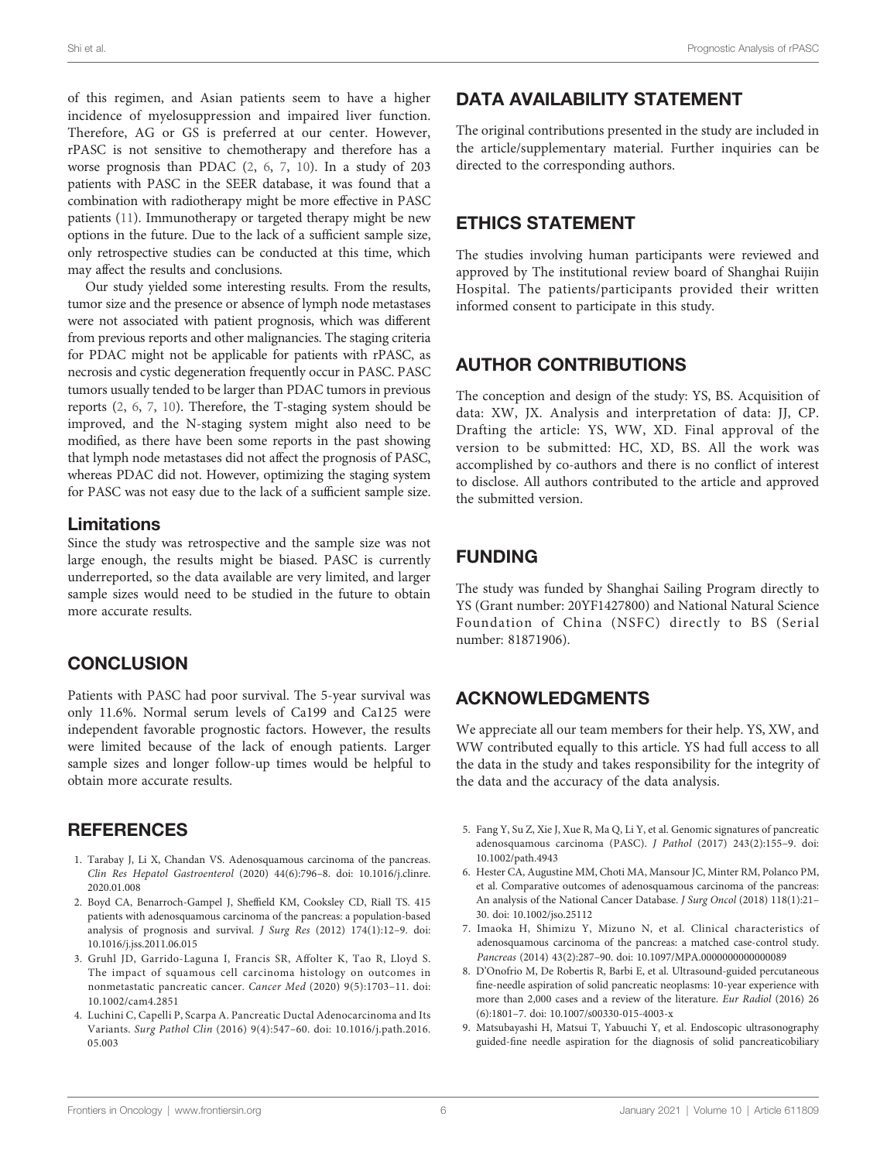<span id="page-5-0"></span>of this regimen, and Asian patients seem to have a higher incidence of myelosuppression and impaired liver function. Therefore, AG or GS is preferred at our center. However, rPASC is not sensitive to chemotherapy and therefore has a worse prognosis than PDAC (2, 6, 7, [10\)](#page-6-0). In a study of 203 patients with PASC in the SEER database, it was found that a combination with radiotherapy might be more effective in PASC patients ([11\)](#page-6-0). Immunotherapy or targeted therapy might be new options in the future. Due to the lack of a sufficient sample size, only retrospective studies can be conducted at this time, which may affect the results and conclusions.

Our study yielded some interesting results. From the results, tumor size and the presence or absence of lymph node metastases were not associated with patient prognosis, which was different from previous reports and other malignancies. The staging criteria for PDAC might not be applicable for patients with rPASC, as necrosis and cystic degeneration frequently occur in PASC. PASC tumors usually tended to be larger than PDAC tumors in previous reports (2, 6, 7, [10\)](#page-6-0). Therefore, the T-staging system should be improved, and the N-staging system might also need to be modified, as there have been some reports in the past showing that lymph node metastases did not affect the prognosis of PASC, whereas PDAC did not. However, optimizing the staging system for PASC was not easy due to the lack of a sufficient sample size.

### Limitations

Since the study was retrospective and the sample size was not large enough, the results might be biased. PASC is currently underreported, so the data available are very limited, and larger sample sizes would need to be studied in the future to obtain more accurate results.

# **CONCLUSION**

Patients with PASC had poor survival. The 5-year survival was only 11.6%. Normal serum levels of Ca199 and Ca125 were independent favorable prognostic factors. However, the results were limited because of the lack of enough patients. Larger sample sizes and longer follow-up times would be helpful to obtain more accurate results.

## **REFERENCES**

- 1. Tarabay J, Li X, Chandan VS. Adenosquamous carcinoma of the pancreas. Clin Res Hepatol Gastroenterol (2020) 44(6):796–8. doi: [10.1016/j.clinre.](https://doi.org/10.1016/j.clinre.2020.01.008) [2020.01.008](https://doi.org/10.1016/j.clinre.2020.01.008)
- 2. Boyd CA, Benarroch-Gampel J, Sheffield KM, Cooksley CD, Riall TS. 415 patients with adenosquamous carcinoma of the pancreas: a population-based analysis of prognosis and survival. J Surg Res (2012) 174(1):12–9. doi: [10.1016/j.jss.2011.06.015](https://doi.org/10.1016/j.jss.2011.06.015)
- 3. Gruhl JD, Garrido-Laguna I, Francis SR, Affolter K, Tao R, Lloyd S. The impact of squamous cell carcinoma histology on outcomes in nonmetastatic pancreatic cancer. Cancer Med (2020) 9(5):1703–11. doi: [10.1002/cam4.2851](https://doi.org/10.1002/cam4.2851)
- 4. Luchini C, Capelli P, Scarpa A. Pancreatic Ductal Adenocarcinoma and Its Variants. Surg Pathol Clin (2016) 9(4):547–60. doi: [10.1016/j.path.2016.](https://doi.org/10.1016/j.path.2016.05.003) [05.003](https://doi.org/10.1016/j.path.2016.05.003)

# DATA AVAILABILITY STATEMENT

The original contributions presented in the study are included in the article/supplementary material. Further inquiries can be directed to the corresponding authors.

## ETHICS STATEMENT

The studies involving human participants were reviewed and approved by The institutional review board of Shanghai Ruijin Hospital. The patients/participants provided their written informed consent to participate in this study.

# AUTHOR CONTRIBUTIONS

The conception and design of the study: YS, BS. Acquisition of data: XW, JX. Analysis and interpretation of data: JJ, CP. Drafting the article: YS, WW, XD. Final approval of the version to be submitted: HC, XD, BS. All the work was accomplished by co-authors and there is no conflict of interest to disclose. All authors contributed to the article and approved the submitted version.

# FUNDING

The study was funded by Shanghai Sailing Program directly to YS (Grant number: 20YF1427800) and National Natural Science Foundation of China (NSFC) directly to BS (Serial number: 81871906).

# ACKNOWLEDGMENTS

We appreciate all our team members for their help. YS, XW, and WW contributed equally to this article. YS had full access to all the data in the study and takes responsibility for the integrity of the data and the accuracy of the data analysis.

- 5. Fang Y, Su Z, Xie J, Xue R, Ma Q, Li Y, et al. Genomic signatures of pancreatic adenosquamous carcinoma (PASC). J Pathol (2017) 243(2):155–9. doi: [10.1002/path.4943](https://doi.org/10.1002/path.4943)
- 6. Hester CA, Augustine MM, Choti MA, Mansour JC, Minter RM, Polanco PM, et al. Comparative outcomes of adenosquamous carcinoma of the pancreas: An analysis of the National Cancer Database. J Surg Oncol (2018) 118(1):21– 30. doi: [10.1002/jso.25112](https://doi.org/10.1002/jso.25112)
- 7. Imaoka H, Shimizu Y, Mizuno N, et al. Clinical characteristics of adenosquamous carcinoma of the pancreas: a matched case-control study. Pancreas (2014) 43(2):287–90. doi: [10.1097/MPA.0000000000000089](https://doi.org/10.1097/MPA.0000000000000089)
- 8. D'Onofrio M, De Robertis R, Barbi E, et al. Ultrasound-guided percutaneous fine-needle aspiration of solid pancreatic neoplasms: 10-year experience with more than 2,000 cases and a review of the literature. Eur Radiol (2016) 26 (6):1801–7. doi: [10.1007/s00330-015-4003-x](https://doi.org/10.1007/s00330-015-4003-x)
- 9. Matsubayashi H, Matsui T, Yabuuchi Y, et al. Endoscopic ultrasonography guided-fine needle aspiration for the diagnosis of solid pancreaticobiliary